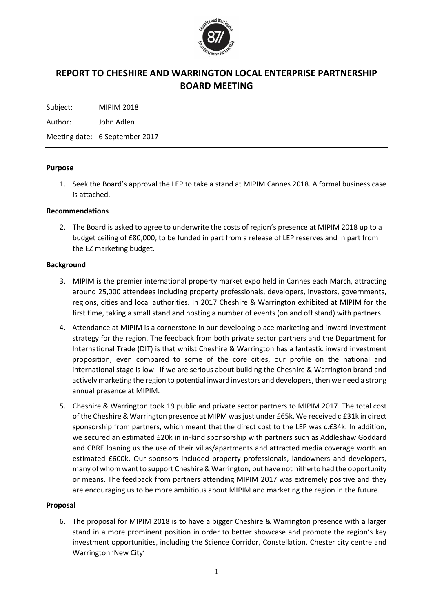

# **REPORT TO CHESHIRE AND WARRINGTON LOCAL ENTERPRISE PARTNERSHIP BOARD MEETING**

Subject: MIPIM 2018

Author: John Adlen

Meeting date: 6 September 2017

### **Purpose**

1. Seek the Board's approval the LEP to take a stand at MIPIM Cannes 2018. A formal business case is attached.

### **Recommendations**

2. The Board is asked to agree to underwrite the costs of region's presence at MIPIM 2018 up to a budget ceiling of £80,000, to be funded in part from a release of LEP reserves and in part from the EZ marketing budget.

### **Background**

- 3. MIPIM is the premier international property market expo held in Cannes each March, attracting around 25,000 attendees including property professionals, developers, investors, governments, regions, cities and local authorities. In 2017 Cheshire & Warrington exhibited at MIPIM for the first time, taking a small stand and hosting a number of events (on and off stand) with partners.
- 4. Attendance at MIPIM is a cornerstone in our developing place marketing and inward investment strategy for the region. The feedback from both private sector partners and the Department for International Trade (DIT) is that whilst Cheshire & Warrington has a fantastic inward investment proposition, even compared to some of the core cities, our profile on the national and international stage is low. If we are serious about building the Cheshire & Warrington brand and actively marketing the region to potential inward investors and developers, then we need a strong annual presence at MIPIM.
- 5. Cheshire & Warrington took 19 public and private sector partners to MIPIM 2017. The total cost of the Cheshire & Warrington presence at MIPM was just under £65k. We received c.£31k in direct sponsorship from partners, which meant that the direct cost to the LEP was c.£34k. In addition, we secured an estimated £20k in in-kind sponsorship with partners such as Addleshaw Goddard and CBRE loaning us the use of their villas/apartments and attracted media coverage worth an estimated £600k. Our sponsors included property professionals, landowners and developers, many of whom want to support Cheshire & Warrington, but have not hitherto had the opportunity or means. The feedback from partners attending MIPIM 2017 was extremely positive and they are encouraging us to be more ambitious about MIPIM and marketing the region in the future.

## **Proposal**

6. The proposal for MIPIM 2018 is to have a bigger Cheshire & Warrington presence with a larger stand in a more prominent position in order to better showcase and promote the region's key investment opportunities, including the Science Corridor, Constellation, Chester city centre and Warrington 'New City'